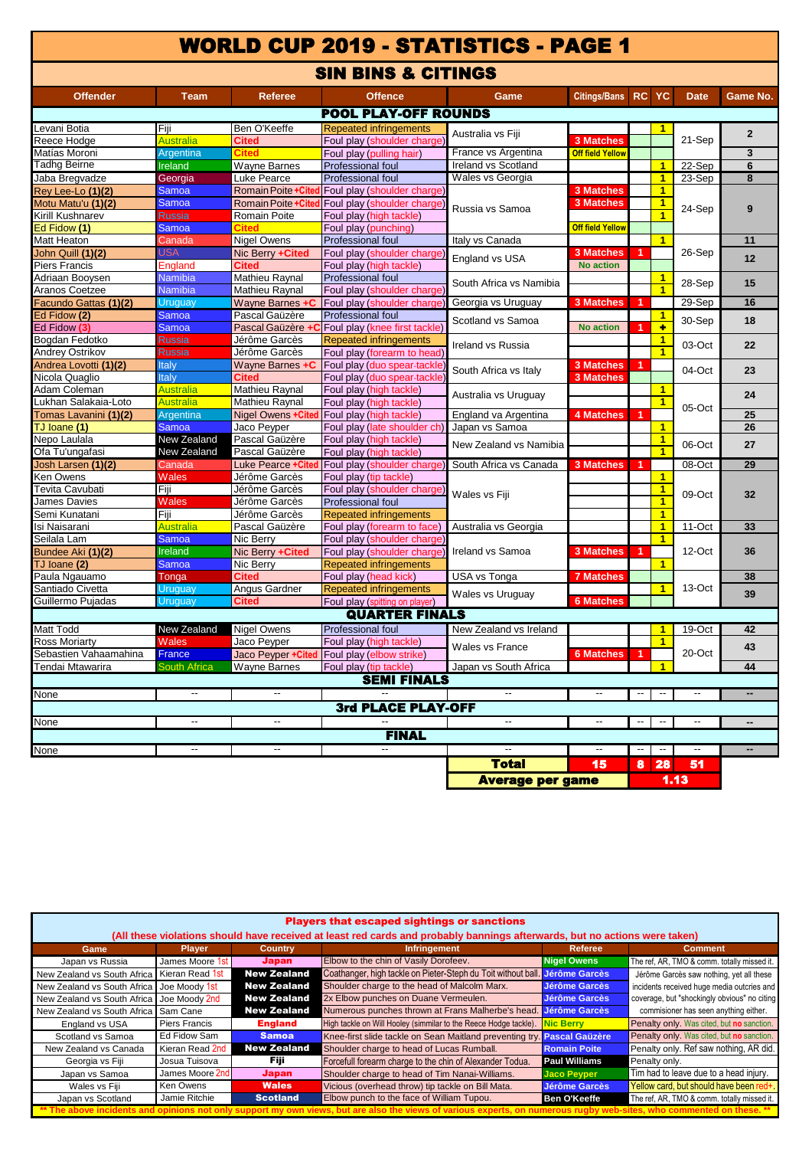# WORLD CUP 2019 - STATISTICS - PAGE 1

## SIN BINS & CITINGS

| <b>Offender</b>       | <b>Team</b>              | <b>Referee</b>      | <b>Offence</b>                                                  | Game                     | <b>Citings/Bans</b>     | RC                       | <b>YC</b>                | <b>Date</b>              | <b>Game No.</b> |
|-----------------------|--------------------------|---------------------|-----------------------------------------------------------------|--------------------------|-------------------------|--------------------------|--------------------------|--------------------------|-----------------|
|                       |                          |                     | <b>POOL PLAY-OFF ROUNDS</b>                                     |                          |                         |                          |                          |                          |                 |
| Levani Botia          | Fiji                     | Ben O'Keeffe        | <b>Repeated infringements</b>                                   | Australia vs Fiji        |                         |                          | 1                        |                          | $\overline{2}$  |
| Reece Hodge           | Australia                | Cited               | Foul play (shoulder charge                                      |                          | <b>3 Matches</b>        |                          |                          | 21-Sep                   |                 |
| Matías Moroni         | Argentina                | Cited               | Foul play (pulling hair)                                        | France vs Argentina      | <b>Off field Yellow</b> |                          |                          |                          | 3               |
| Tadhg Beirne          | <b>Ireland</b>           |                     | <b>Wayne Barnes</b><br>Professional foul<br>Ireland vs Scotland |                          |                         |                          | $\overline{1}$           | 22-Sep                   | 6               |
| Jaba Bregvadze        | Georgia                  | Luke Pearce         | Wales vs Georgia<br>Professional foul                           |                          |                         |                          | $\mathbf{1}$             | 23-Sep                   | 8               |
| Rey Lee-Lo (1)(2)     | Samoa                    |                     | Romain Poite + Cited Foul play (shoulder charge)                |                          | <b>3 Matches</b>        |                          | $\overline{1}$           |                          |                 |
| Motu Matu'u (1)(2)    | Samoa                    | Romain Poite +Cited | Foul play (shoulder charge                                      | Russia vs Samoa          | <b>3 Matches</b>        |                          | $\overline{1}$           | 24-Sep                   | 9               |
| Kirill Kushnarev      | Russia                   | Romain Poite        | Foul play (high tackle)                                         |                          |                         |                          | $\overline{\mathbf{1}}$  |                          |                 |
| Ed Fidow (1)          | Samoa                    |                     | Foul play (punching)                                            |                          | <b>Off field Yellow</b> |                          |                          |                          |                 |
| Matt Heaton           | Canada                   | <b>Nigel Owens</b>  | <b>Professional foul</b>                                        | Italy vs Canada          |                         |                          | $\overline{1}$           |                          | 11              |
| John Quill (1)(2)     | JSA                      | Nic Berry +Cited    | Foul play (shoulder charge)                                     | England vs USA           | <b>3 Matches</b>        | 1                        |                          | 26-Sep                   | 12              |
| Piers Francis         | <b>England</b>           | <b>Cited</b>        | Foul play (high tackle)                                         |                          | <b>No action</b>        |                          |                          |                          |                 |
| Adriaan Booysen       | Namibia                  | Mathieu Raynal      | Professional foul                                               | South Africa vs Namibia  |                         |                          | $\overline{1}$           | 28-Sep                   | 15              |
| Aranos Coetzee        | Namibia                  | Mathieu Raynal      | Foul play (shoulder charge                                      |                          |                         |                          | 1                        |                          |                 |
| Facundo Gattas (1)(2) | Uruguay                  | Wayne Barnes +C     | Foul play (shoulder charge)                                     | Georgia vs Uruguay       | <b>3 Matches</b>        | $\blacktriangleleft$     |                          | 29-Sep                   | 16              |
| Ed Fidow (2)          | <b>Samoa</b>             | Pascal Gaüzère      | Professional foul                                               | Scotland vs Samoa        |                         |                          | $\mathbf{1}$             | 30-Sep                   | 18              |
| Ed Fidow (3)          | Samoa                    | Pascal Gaüzère +C   | Foul play (knee first tackle)                                   |                          | <b>No action</b>        | 1                        | ٠                        |                          |                 |
| Bogdan Fedotko        | <b>Russia</b>            | Jérôme Garcès       | Repeated infringements                                          | Ireland vs Russia        | $\overline{1}$          |                          |                          | 03-Oct                   | 22              |
| Andrey Ostrikov       | Russia                   | Jérôme Garcès       | Foul play (forearm to head                                      |                          |                         |                          | $\overline{1}$           |                          |                 |
| Andrea Lovotti (1)(2) | Italy                    | Wayne Barnes +C     | Foul play (duo spear-tackle                                     | South Africa vs Italy    | <b>3 Matches</b>        | 1                        |                          | 04-Oct                   | 23              |
| Nicola Quaglio        | Italy                    | <b>Cited</b>        | Foul play (duo spear-tackle                                     |                          | <b>3 Matches</b>        |                          |                          |                          |                 |
| Adam Coleman          | <b>Australia</b>         | Mathieu Raynal      | Foul play (high tackle)                                         | Australia vs Uruguay     |                         |                          | $\mathbf{1}$             |                          | 24              |
| Lukhan Salakaia-Loto  | <b>Australia</b>         | Mathieu Raynal      | Foul play (high tackle)                                         |                          |                         |                          | $\overline{1}$           | 05-Oct                   |                 |
| Tomas Lavanini (1)(2) | Argentina                | Nigel Owens + Cited | Foul play (high tackle)                                         | England va Argentina     | <b>4 Matches</b>        | 1                        |                          |                          | 25              |
| TJ Ioane (1)          | Samoa                    | Jaco Peyper         | Foul play (late shoulder ch)                                    | Japan vs Samoa           |                         |                          | $\mathbf{1}$             |                          | 26              |
| Nepo Laulala          | New Zealand              | Pascal Gaüzère      | Foul play (high tackle)                                         | New Zealand vs Namibia   |                         |                          | $\overline{1}$           | 06-Oct                   | 27              |
| Ofa Tu'ungafasi       | New Zealand              | Pascal Gaüzère      | Foul play (high tackle)                                         |                          |                         |                          | $\blacksquare$           |                          |                 |
| Josh Larsen (1)(2)    | Canada                   | Luke Pearce +Cited  | Foul play (shoulder charge                                      | South Africa vs Canada   | <b>3 Matches</b>        | 1                        |                          | 08-Oct                   | 29              |
| Ken Owens             | Wales                    | Jérôme Garcès       | Foul play (tip tackle)                                          |                          |                         |                          | $\overline{1}$           |                          |                 |
| Tevita Cavubati       | Fiji                     | Jérôme Garcès       | Foul play (shoulder charge                                      | Wales vs Fiji            |                         |                          | $\mathbf{1}$             | 09-Oct                   | 32              |
| James Davies          | Wales                    | Jérôme Garcès       | Professional foul                                               |                          |                         |                          | $\overline{1}$           |                          |                 |
| Semi Kunatani         | Fiji                     | Jérôme Garcès       | <b>Repeated infringements</b>                                   |                          |                         |                          | $\overline{1}$           |                          |                 |
| Isi Naisarani         | Australia                | Pascal Gaüzère      | Foul play (forearm to face)                                     | Australia vs Georgia     |                         |                          | $\mathbf{1}$             | 11-Oct                   | 33              |
| Seilala Lam           | <b>Samoa</b>             | Nic Berry           | Foul play (shoulder charge)                                     |                          |                         |                          | 1                        |                          |                 |
| Bundee Aki (1)(2)     | <b>Ireland</b>           | Nic Berry +Cited    | Foul play (shoulder charge)                                     | Ireland vs Samoa         | <b>3 Matches</b>        | $\blacktriangleleft$     |                          | 12-Oct                   | 36              |
| TJ Ioane (2)          | Samoa                    | Nic Berry           | <b>Repeated infringements</b>                                   |                          |                         |                          | $\overline{1}$           |                          |                 |
| Paula Ngauamo         | Tonga                    | <b>Cited</b>        | Foul play (head kick)                                           | USA vs Tonga             | <b>7 Matches</b>        |                          |                          |                          | 38              |
| Santiado Civetta      | Uruguay                  | Angus Gardner       | Repeated infringements                                          | Wales vs Uruguay         |                         |                          | $\overline{1}$           | 13-Oct                   | 39              |
| Guillermo Pujadas     | Jruguay                  | Cited               | Foul play (spitting on player)                                  |                          | <b>6 Matches</b>        |                          |                          |                          |                 |
| <b>QUARTER FINALS</b> |                          |                     |                                                                 |                          |                         |                          |                          |                          |                 |
| Matt Todd             | New Zealand              | <b>Nigel Owens</b>  | <b>Professional foul</b>                                        | New Zealand vs Ireland   |                         |                          | $\mathbf{1}$             | 19-Oct                   | 42              |
| <b>Ross Moriarty</b>  | Wales                    | Jaco Peyper         | Foul play (high tackle)                                         | Wales vs France          |                         |                          | $\overline{\mathbf{1}}$  |                          | 43              |
| Sebastien Vahaamahina | France                   | Jaco Peyper +Cited  | Foul play (elbow strike)                                        |                          | <b>6 Matches</b>        | 1                        |                          | 20-Oct                   |                 |
| Tendai Mtawarira      | <b>South Africa</b>      | Wayne Barnes        | Foul play (tip tackle)                                          | Japan vs South Africa    |                         |                          | 1                        |                          | 44              |
| <b>SEMI FINALS</b>    |                          |                     |                                                                 |                          |                         |                          |                          |                          |                 |
| <b>None</b>           | $\overline{a}$           | $\sim$              |                                                                 | $\overline{\phantom{a}}$ | $\sim$                  | $\overline{\phantom{a}}$ | $\overline{\phantom{a}}$ | $\overline{\phantom{a}}$ | $\overline{a}$  |
| 3rd PLACE PLAY-OFF    |                          |                     |                                                                 |                          |                         |                          |                          |                          |                 |
| None                  | $\overline{\phantom{a}}$ | $\overline{a}$      |                                                                 | Ξ.                       | $\overline{a}$          | $\overline{\phantom{a}}$ | $\overline{\phantom{a}}$ | $\overline{\phantom{a}}$ |                 |
| <b>FINAL</b>          |                          |                     |                                                                 |                          |                         |                          |                          |                          |                 |
| None                  |                          |                     |                                                                 | $-$                      |                         | $\overline{\phantom{a}}$ | $\overline{\phantom{a}}$ | $\overline{\phantom{a}}$ |                 |
|                       |                          |                     |                                                                 | <b>Total</b>             | 15                      | 8                        | 28                       | 51                       |                 |
|                       |                          |                     |                                                                 |                          |                         |                          |                          |                          |                 |
|                       |                          |                     |                                                                 | <b>Average per game</b>  |                         |                          | 1.13                     |                          |                 |

| <b>Players that escaped sightings or sanctions</b>                                                                         |                 |                    |                                                                             |                       |                                              |  |  |  |  |
|----------------------------------------------------------------------------------------------------------------------------|-----------------|--------------------|-----------------------------------------------------------------------------|-----------------------|----------------------------------------------|--|--|--|--|
| (All these violations should have received at least red cards and probably bannings afterwards, but no actions were taken) |                 |                    |                                                                             |                       |                                              |  |  |  |  |
| Game                                                                                                                       | <b>Player</b>   | <b>Country</b>     | <b>Infringement</b>                                                         | Referee               | <b>Comment</b>                               |  |  |  |  |
| Japan vs Russia                                                                                                            | James Moore 1st | <b>Japan</b>       | Elbow to the chin of Vasily Dorofeev.                                       | <b>Nigel Owens</b>    | The ref, AR, TMO & comm. totally missed it.  |  |  |  |  |
| New Zealand vs South Africa                                                                                                | Kieran Read 1st | <b>New Zealand</b> | Coathanger, high tackle on Pieter-Steph du Toit without ball. Jérôme Garcès |                       | Jérôme Garcès saw nothing, yet all these     |  |  |  |  |
| New Zealand vs South Africa                                                                                                | Joe Moody 1st   | <b>New Zealand</b> | Shoulder charge to the head of Malcolm Marx.                                | Jérôme Garcès         | incidents received huge media outcries and   |  |  |  |  |
| New Zealand vs South Africa                                                                                                | Joe Moody 2nd   | <b>New Zealand</b> | 2x Elbow punches on Duane Vermeulen.                                        | Jérôme Garcès         | coverage, but "shockingly obvious" no citing |  |  |  |  |
| New Zealand vs South Africa                                                                                                | Sam Cane        | <b>New Zealand</b> | Numerous punches thrown at Frans Malherbe's head. Jérôme Garcès             |                       | commisioner has seen anything either.        |  |  |  |  |
| England vs USA                                                                                                             | Piers Francis   | <b>England</b>     | High tackle on Will Hooley (simmilar to the Reece Hodge tackle).            | Nic Berry             | Penalty only. Was cited, but no sanction.    |  |  |  |  |
| Scotland vs Samoa                                                                                                          | Ed Fidow Sam    | <b>Samoa</b>       | Knee-first slide tackle on Sean Maitland preventing try.                    | <b>Pascal Gaüzère</b> | Penalty only. Was cited, but no sanction.    |  |  |  |  |
| New Zealand vs Canada                                                                                                      | Kieran Read 2nd | <b>New Zealand</b> | Shoulder charge to head of Lucas Rumball.                                   | <b>Romain Poite</b>   | Penalty only. Ref saw nothing, AR did.       |  |  |  |  |
| Georgia vs Fiji                                                                                                            | Josua Tuisova   | Fiji               | Forcefull forearm charge to the chin of Alexander Todua.                    | <b>Paul Williams</b>  | Penalty only.                                |  |  |  |  |
| Japan vs Samoa                                                                                                             | James Moore 2nd | Japan              | Shoulder charge to head of Tim Nanai-Williams.                              | <b>Jaco Peyper</b>    | Tim had to leave due to a head injury.       |  |  |  |  |
| Wales vs Fiji                                                                                                              | Ken Owens       | <b>Wales</b>       | Vicious (overhead throw) tip tackle on Bill Mata.                           | Jérôme Garcès         | Yellow card, but should have been red+.      |  |  |  |  |
| Japan vs Scotland                                                                                                          | Jamie Ritchie   | <b>Scotland</b>    | Elbow punch to the face of William Tupou.                                   | <b>Ben O'Keeffe</b>   | The ref, AR, TMO & comm. totally missed it.  |  |  |  |  |
|                                                                                                                            |                 |                    |                                                                             |                       |                                              |  |  |  |  |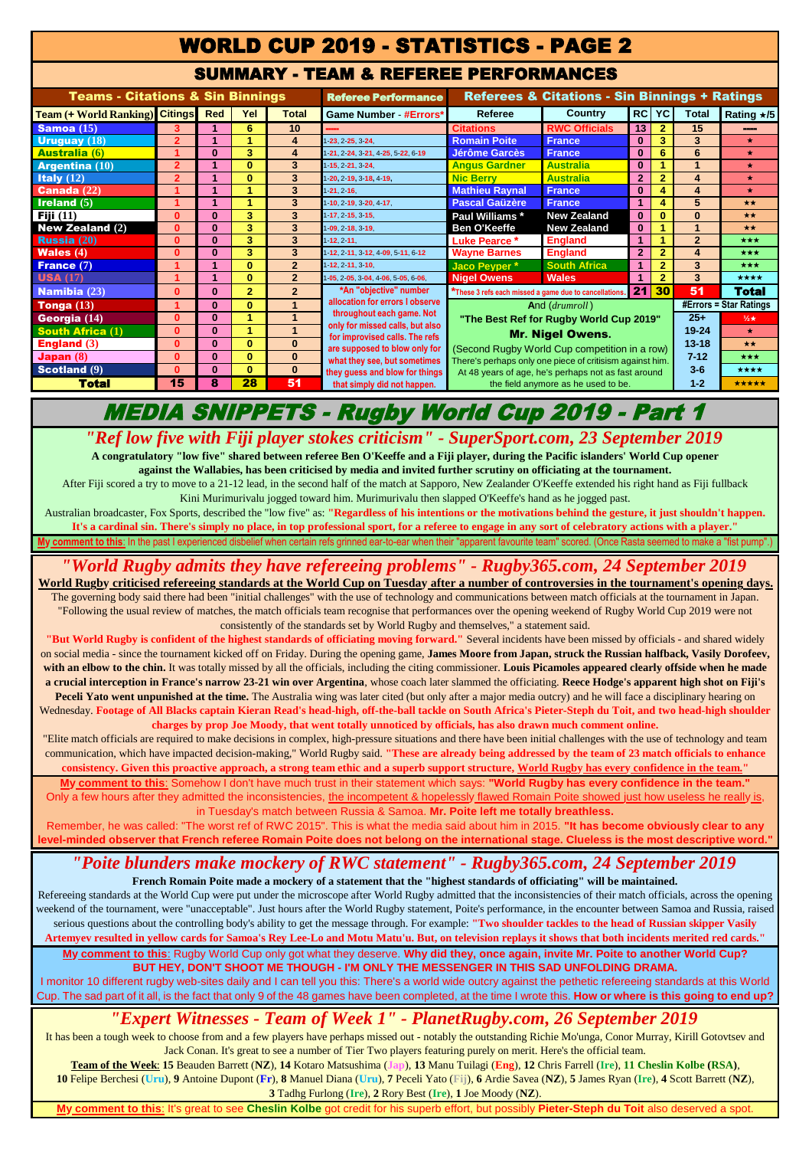## WORLD CUP 2019 - STATISTICS - PAGE 2

#### SUMMARY - TEAM & REFEREE PERFORMANCES

| <b>Teams - Citations &amp; Sin Binnings</b> |                      |            | <b>Referee Performance</b> | <b>Referees &amp; Citations - Sin Binnings + Ratings</b> |                                                                   |                                                                                                                 |                      |                |                          |                        |            |
|---------------------------------------------|----------------------|------------|----------------------------|----------------------------------------------------------|-------------------------------------------------------------------|-----------------------------------------------------------------------------------------------------------------|----------------------|----------------|--------------------------|------------------------|------------|
| <b>Team (+ World Ranking)</b> Citings       |                      | <b>Red</b> | Yel                        | <b>Total</b>                                             | <b>Game Number - #Errors*</b>                                     | Referee                                                                                                         | <b>Country</b>       | <b>RC</b>      | <b>YC</b>                | <b>Total</b>           | Rating ★/5 |
| Samoa $(15)$                                | 3                    |            | 6                          | 10                                                       |                                                                   | <b>Citations</b>                                                                                                | <b>RWC Officials</b> | 13             | $\overline{2}$           | 15                     |            |
| Uruguay $(18)$                              | $\overline{2}$       | и          |                            | 4                                                        | 1.23.2.25.3.24                                                    | <b>Romain Poite</b>                                                                                             | <b>France</b>        | $\bf{0}$       | 3                        | 3                      | $\star$    |
| <b>Australia (6)</b>                        |                      | $\bf{0}$   | 3                          | 4                                                        | 1 21 2 24 3 21 4 25 5 22 6 19                                     | <b>Jérôme Garcès</b>                                                                                            | <b>France</b>        | $\bf{0}$       | 6                        | 6                      | $\star$    |
| Argentina $(10)$                            | $\overline{2}$       |            | $\Omega$                   | 3                                                        | 1.15.2.21.3.24.                                                   | <b>Angus Gardner</b>                                                                                            | <b>Australia</b>     | $\bf{0}$       |                          |                        | $\star$    |
| Italy $(12)$                                | $\overline{2}$       |            | $\bf{0}$                   | 3                                                        | 1 20 2-19 3-18 4-19                                               | <b>Nic Berry</b>                                                                                                | <b>Australia</b>     | $\overline{2}$ | $\overline{2}$           | 4                      | $\star$    |
| <b>Canada</b> $(22)$                        | 1                    |            |                            | 3                                                        | 1, 21, 2, 16.                                                     | <b>Mathieu Raynal</b>                                                                                           | <b>France</b>        | $\bf{0}$       |                          | $\boldsymbol{\Lambda}$ | $\star$    |
| <b>Ireland</b> $(5)$                        |                      |            |                            | 3                                                        | 1 10 2 19 3 20 4 17                                               | <b>Pascal Gaüzère</b>                                                                                           | <b>France</b>        | 1              |                          | 5                      | $+ +$      |
| Fiji $(11)$                                 | $\bf{0}$             | $\bf{0}$   | 3                          | 3                                                        | 1 17 2 15 3 15                                                    | Paul Williams *                                                                                                 | <b>New Zealand</b>   | $\bf{0}$       | $\bf{0}$                 | $\bf{0}$               | **         |
| <b>New Zealand <math>(2)</math></b>         | $\bf{0}$             | $\bf{0}$   | 3                          | 3                                                        | 1 09 2 18 3 19                                                    | <b>Ben O'Keeffe</b>                                                                                             | <b>New Zealand</b>   | $\mathbf{0}$   |                          |                        | **         |
| <b>Russia</b> $(20)$                        | $\bf{0}$             | $\bf{0}$   | 3                          | 3                                                        | 1, 12, 2, 11.                                                     | Luke Pearce *                                                                                                   | <b>England</b>       | 1.             |                          | $\overline{2}$         | ***        |
| <b>Wales</b> $(4)$                          | $\bf{0}$             | $\bf{0}$   | 3                          | 3                                                        | 1-12, 2-11, 3-12, 4-09, 5-11, 6-12                                | <b>Wayne Barnes</b>                                                                                             | <b>England</b>       | $\overline{2}$ | $\overline{2}$           | 4                      | $***$      |
| France (7)                                  |                      |            | $\bf{0}$                   | $\overline{2}$                                           | 1.12, 2.11, 3.10.                                                 | Jaco Pevper*                                                                                                    | <b>South Africa</b>  | 1              | $\overline{2}$           | 3                      | ***        |
| <b>USA</b> $(17)$                           |                      |            | $\bf{0}$                   | $\overline{2}$                                           | 1-05, 2-05, 3-04, 4-06, 5-05, 6-06,                               | <b>Nigel Owens</b>                                                                                              | <b>Wales</b>         |                | $\overline{2}$           | 3                      | ****       |
| <b>Namibia</b> $(23)$                       | $\bf{0}$             | $\bf{0}$   | $\overline{2}$             | $\overline{2}$                                           | *An "objective" number                                            | 21<br>*These 3 refs each missed a game due to cancellations.                                                    |                      |                | 30                       | 51                     | Total      |
| Tonga $(13)$                                | $\blacktriangleleft$ | $\bf{0}$   | $\bf{0}$                   |                                                          | allocation for errors I observe                                   | And (drumroll)                                                                                                  |                      |                | $#Errors = Star Ratings$ |                        |            |
| Georgia (14)                                | $\bf{0}$             | $\bf{0}$   |                            |                                                          | throughout each game. Not                                         | "The Best Ref for Rugby World Cup 2019"                                                                         | $25 +$               | $\frac{1}{2}$  |                          |                        |            |
| <b>South Africa (1)</b>                     | $\bf{0}$             | $\bf{0}$   | z                          |                                                          | only for missed calls, but also<br>for improvised calls. The refs | <b>Mr. Nigel Owens.</b>                                                                                         |                      | $19 - 24$      | $\star$                  |                        |            |
| England $(3)$                               | $\Omega$             | $\bf{0}$   | $\Omega$                   | $\bf{0}$                                                 | are supposed to blow only for                                     | (Second Rugby World Cup competition in a row)                                                                   |                      | $13 - 18$      | $+ +$                    |                        |            |
| Japan $(8)$                                 | $\bf{0}$             | $\bf{0}$   | $\bf{0}$                   | $\bf{0}$                                                 | what they see, but sometimes                                      |                                                                                                                 | $7 - 12$             | ***            |                          |                        |            |
| <b>Scotland (9)</b>                         | $\Omega$             | $\bf{0}$   | $\bf{0}$                   | $\bf{0}$                                                 | they guess and blow for things                                    | There's perhaps only one piece of critisism against him.<br>At 48 years of age, he's perhaps not as fast around |                      |                |                          | $3-6$                  | ****       |
| <b>Total</b>                                | 15                   | 8          | 28                         | 51                                                       | that simply did not happen.                                       | the field anymore as he used to be.                                                                             |                      |                |                          | $1 - 2$                | *****      |
|                                             |                      |            |                            |                                                          |                                                                   |                                                                                                                 |                      |                |                          |                        |            |

# MEDIA SNIPPETS - Rugby World Cup 2019 - Part 1

*"Ref low five with Fiji player stokes criticism" - SuperSport.com, 23 September 2019* **A congratulatory "low five" shared between referee Ben O'Keeffe and a Fiji player, during the Pacific islanders' World Cup opener** 

**against the Wallabies, has been criticised by media and invited further scrutiny on officiating at the tournament.**  After Fiji scored a try to move to a 21-12 lead, in the second half of the match at Sapporo, New Zealander O'Keeffe extended his right hand as Fiji fullback Kini Murimurivalu jogged toward him. Murimurivalu then slapped O'Keeffe's hand as he jogged past.

**My comment to this**: In the past I experienced disbelief when certain refs grinned ear-to-ear when their "apparent favourite team" scored. (Once Rasta seemed to make a "fist pump".) Australian broadcaster, Fox Sports, described the "low five" as: **"Regardless of his intentions or the motivations behind the gesture, it just shouldn't happen. It's a cardinal sin. There's simply no place, in top professional sport, for a referee to engage in any sort of celebratory actions with a player."**

## *"World Rugby admits they have refereeing problems" - Rugby365.com, 24 September 2019*

**World Rugby criticised refereeing standards at the World Cup on Tuesday after a number of controversies in the tournament's opening days.** The governing body said there had been "initial challenges" with the use of technology and communications between match officials at the tournament in Japan. "Following the usual review of matches, the match officials team recognise that performances over the opening weekend of Rugby World Cup 2019 were not consistently of the standards set by World Rugby and themselves," a statement said.

**"But World Rugby is confident of the highest standards of officiating moving forward."** Several incidents have been missed by officials - and shared widely on social media - since the tournament kicked off on Friday. During the opening game, **James Moore from Japan, struck the Russian halfback, Vasily Dorofeev,**  with an elbow to the chin. It was totally missed by all the officials, including the citing commissioner. Louis Picamoles appeared clearly offside when he made **a crucial interception in France's narrow 23-21 win over Argentina**, whose coach later slammed the officiating. **Reece Hodge's apparent high shot on Fiji's Peceli Yato went unpunished at the time.** The Australia wing was later cited (but only after a major media outcry) and he will face a disciplinary hearing on Wednesday. **Footage of All Blacks captain Kieran Read's head-high, off-the-ball tackle on South Africa's Pieter-Steph du Toit, and two head-high shoulder** 

**charges by prop Joe Moody, that went totally unnoticed by officials, has also drawn much comment online.**  "Elite match officials are required to make decisions in complex, high-pressure situations and there have been initial challenges with the use of technology and team communication, which have impacted decision-making," World Rugby said. **"These are already being addressed by the team of 23 match officials to enhance consistency. Given this proactive approach, a strong team ethic and a superb support structure, World Rugby has every confidence in the team."**

**My comment to this**: Somehow I don't have much trust in their statement which says: **"World Rugby has every confidence in the team."**  Only a few hours after they admitted the inconsistencies, the incompetent & hopelessly flawed Romain Poite showed just how useless he really is, in Tuesday's match between Russia & Samoa. **Mr. Poite left me totally breathless.** 

Remember, he was called: "The worst ref of RWC 2015". This is what the media said about him in 2015. **"It has become obviously clear to any**  level-minded observer that French referee Romain Poite does not belong on the international stage. Clueless is the most descriptive word.

# *"Poite blunders make mockery of RWC statement" - Rugby365.com, 24 September 2019*

**French Romain Poite made a mockery of a statement that the "highest standards of officiating" will be maintained.**  Refereeing standards at the World Cup were put under the microscope after World Rugby admitted that the inconsistencies of their match officials, across the opening weekend of the tournament, were "unacceptable". Just hours after the World Rugby statement, Poite's performance, in the encounter between Samoa and Russia, raised serious questions about the controlling body's ability to get the message through. For example: **"Two shoulder tackles to the head of Russian skipper Vasily** 

**Artemyev resulted in yellow cards for Samoa's Rey Lee-Lo and Motu Matu'u. But, on television replays it shows that both incidents merited red cards."**

**My comment to this**: Rugby World Cup only got what they deserve. **Why did they, once again, invite Mr. Poite to another World Cup? BUT HEY, DON'T SHOOT ME THOUGH - I'M ONLY THE MESSENGER IN THIS SAD UNFOLDING DRAMA.** 

## I monitor 10 different rugby web-sites daily and I can tell you this: There's a world wide outcry against the pethetic refereeing standards at this World

Cup. The sad part of it all, is the fact that only 9 of the 48 games have been completed, at the time I wrote this. **How or where is this going to end up?**

## *["Expe](https://www.planetrugby.com/team-of-the-week-rugby-world-cup-round-one/)rt Witnesses - Team of Week 1" - PlanetRugby.com, 26 September 2019*

It has been a tough week to choose from and a few players have perhaps missed out - notably the outstanding Richie Mo'unga, Conor Murray, Kirill Gotovtsev and Jack Conan. It's great to see a number of Tier Two players featuring purely on merit. Here's the official team.

**Team of the Week**: **15** Beauden Barrett (**NZ**), **14** Kotaro Matsushima (**Jap**), **13** Manu Tuilagi (**Eng**), **12** Chris Farrell (**Ire**), **11 Cheslin Kolbe (RSA)**, 10 Felipe Berchesi (Uru), 9 Antoine Dupont (Fr), 8 Manuel Diana (Uru), 7 Peceli Yato (Fij), 6 Ardie Savea (NZ), 5 James Ryan (Ire), 4 Scott Barrett (NZ), **3** Tadhg Furlong (**Ire**), **2** Rory Best (**Ire**), **1** Joe Moody (**NZ**).

**Age Cheslin Kolbe got credit for his superb effort, but possible and the Steph dum**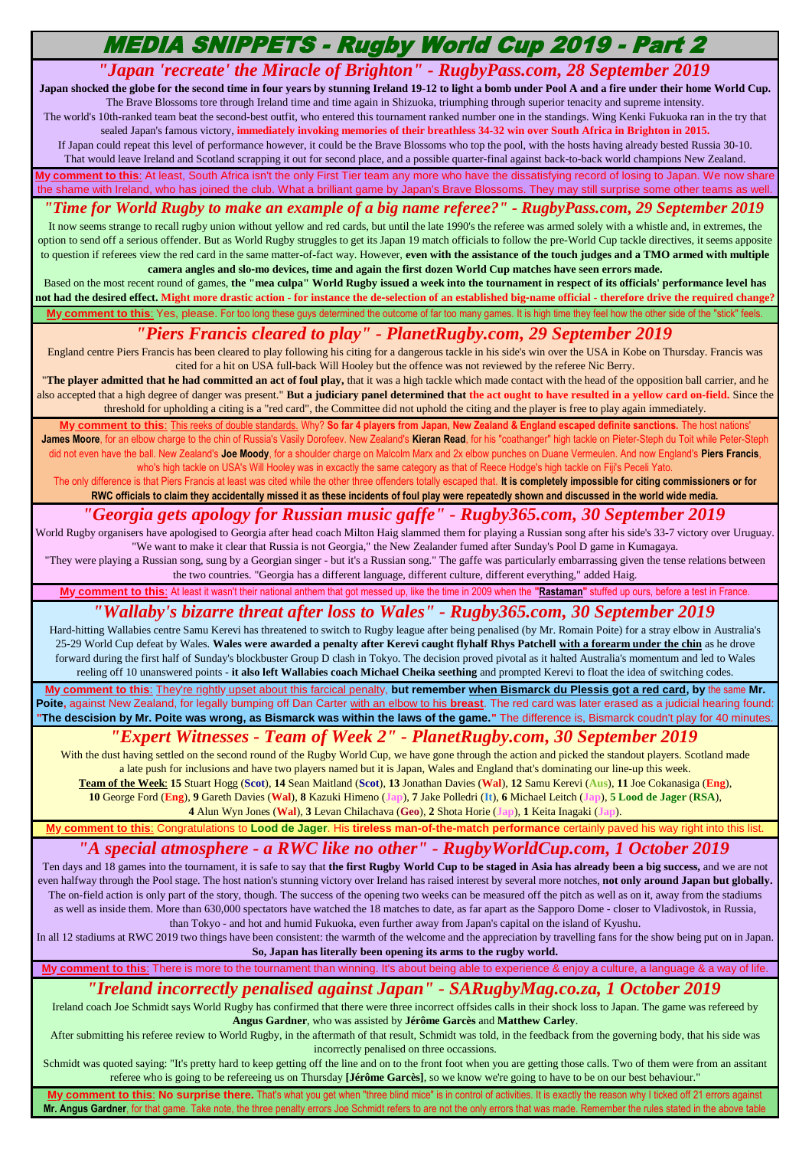# MEDIA SNIPPETS - Rugby World Cup 2019 - Part 2

## *"Japan 'recreate' the Miracle of Brighton" - RugbyPass.com, 28 September 2019*

Japan shocked the globe for the second time in four years by stunning Ireland 19-12 to light a bomb under Pool A and a fire under their home World Cup. The Brave Blossoms tore through Ireland time and time again in Shizuoka, triumphing through superior tenacity and supreme intensity.

The world's 10th-ranked team beat the second-best outfit, who entered this tournament ranked number one in the standings. Wing Kenki Fukuoka ran in the try that sealed Japan's famous victory, **immediately invoking memories of their breathless 34-32 win over South Africa in Brighton in 2015.** 

If Japan could repeat this level of performance however, it could be the Brave Blossoms who top the pool, with the hosts having already bested Russia 30-10. That would leave Ireland and Scotland scrapping it out for second place, and a possible quarter-final against back-to-back world champions New Zealand.

**reforment to this**: At least, South Africa isn't the only First Tier team any more who have the dissatisfying record of losing to Japan. We now share the shame with Ireland, who has joined the club. What a brilliant game by Japan's Brave Blossoms. They may still surprise some other teams as well

#### *"Time for World Rugby to make an example of a big name referee?" - RugbyPass.com, 29 September 2019*

It now seems strange to recall rugby union without yellow and red cards, but until the late 1990's the referee was armed solely with a whistle and, in extremes, the option to send off a serious offender. But as World Rugby struggles to get its Japan 19 match officials to follow the pre-World Cup tackle directives, it seems apposite to question if referees view the red card in the same matter-of-fact way. However, **even with the assistance of the touch judges and a TMO armed with multiple camera angles and slo-mo devices, time and again the first dozen World Cup matches have seen errors made.** 

Based on the most recent round of games, **the "mea culpa" World Rugby issued a week into the tournament in respect of its officials' performance level has not had the desired effect. Might more drastic action - for instance the de-selection of an established big-name official - therefore drive the required change?** My comment to this: Yes, please. For too long these guys determined the outcome of far too many games. It is high time they feel how the other side of the "stick" feels

#### *"Piers Francis cleared to play" - PlanetRugby.com, 29 September 2019*

England centre Piers Francis has been cleared to play following his citing for a dangerous tackle in his side's win over the USA in Kobe on Thursday. Francis was cited for a hit on USA full-back Will Hooley but the offence was not reviewed by the referee Nic Berry.

"**The player admitted that he had committed an act of foul play,** that it was a high tackle which made contact with the head of the opposition ball carrier, and he also accepted that a high degree of danger was present." But a judiciary panel determined that the act ought to have resulted in a yellow card on-field. Since the threshold for upholding a citing is a "red card", the Committee did not uphold the citing and the player is free to play again immediately.

**Primetion the Standard Standards. Why? So far 4 players from Japan, New Zealand & England escaped definite sanctions. The host nations' The host nations' The host James Moore**, for an elbow charge to the chin of Russia's Vasily Dorofeev. New Zealand's **Kieran Read**, for his "coathanger" high tackle on Pieter-Steph du Toit while Peter-Steph did not even have the ball. New Zealand's **Joe Moody**, for a shoulder charge on Malcolm Marx and 2x elbow punches on Duane Vermeulen. And now England's **Piers Francis**, who's high tackle on USA's Will Hooley was in excactly the same category as that of Reece Hodge's high tackle on Fiji's Peceli Yato.

The only difference is that Piers Francis at least was cited while the other three offenders totally escaped that. It is completely impossible for citing commissioners or for **RWC officials to claim they accidentally missed it as these incidents of foul play were repeatedly shown and discussed in the world wide media.**

## *"Georgia gets apology for Russian music gaffe" - Rugby365.com, 30 September 2019*

World Rugby organisers have apologised to Georgia after head coach Milton Haig slammed them for playing a Russian song after his side's 33-7 victory over Uruguay. "We want to make it clear that Russia is not Georgia," the New Zealander fumed after Sunday's Pool D game in Kumagaya.

"They were playing a Russian song, sung by a Georgian singer - but it's a Russian song." The gaffe was particularly embarrassing given the tense relations between the two countries. "Georgia has a different language, different culture, different everything," added Haig.

**My comment to this**: At least it wasn't their national anthem that got messed up, like the time in 2009 when the **"Rastaman"** stuffed up ours, before a test in France.

#### *"Wallaby's bizarre threat after loss to Wales" - Rugby365.com, 30 September 2019*

Hard-hitting Wallabies centre Samu Kerevi has threatened to switch to Rugby league after being penalised (by Mr. Romain Poite) for a stray elbow in Australia's 25-29 World Cup defeat by Wales. **Wales were awarded a penalty after Kerevi caught flyhalf Rhys Patchell with a forearm under the chin** as he drove forward during the first half of Sunday's blockbuster Group D clash in Tokyo. The decision proved pivotal as it halted Australia's momentum and led to Wales reeling off 10 unanswered points - **it also left Wallabies coach Michael Cheika seething** and prompted Kerevi to float the idea of switching codes.

**My comment to this**: They're rightly upset about this farcical penalty, **but remember when Bismarck du Plessis got a red card, by** the same **Mr. Poite,** against New Zealand, for legally bumping off Dan Carter with an elbow to his **breast**. The red card was later erased as a judicial hearing found: **"The descision by Mr. Poite was wrong, as Bismarck was within the laws of the game."** The difference is, Bismarck coudn't play for 40 minutes.

#### *["Expe](https://www.planetrugby.com/team-of-the-week-rugby-world-cup-round-two/)rt Witnesses - Team of Week 2" - PlanetRugby.com, 30 September 2019*

With the dust having settled on the second round of the Rugby World Cup, we have gone through the action and picked the standout players. Scotland made a late push for inclusions and have two players named but it is Japan, Wales and England that's dominating our line-up this week.

**Team of the Week**: **15** Stuart Hogg (**Scot**), **14** Sean Maitland (**Scot**), **13** Jonathan Davies (**Wal**), **12** Samu Kerevi (**Aus**), **11** Joe Cokanasiga (**Eng**), **10** George Ford (**Eng**), **9** Gareth Davies (**Wal**), **8** Kazuki Himeno (**Jap**), **7** Jake Polledri (**It**), **6** Michael Leitch (**Jap**), **5 Lood de Jager** (**RSA**),

**4** Alun Wyn Jones (**Wal**), **3** Levan Chilachava (**Geo**), **2** Shota Horie (**Jap**), **1** Keita Inagaki (**Jap**).

Congratulations to **Lood de Jager**. His **tireless man-of-the-match performance** certainly paved his way right into this list.

## *"A special atmosphere - a RWC like no other" - RugbyWorldCup.com, 1 October 2019*

Ten days and 18 games into the tournament, it is safe to say that **the first Rugby World Cup to be staged in Asia has already been a big success,** and we are not even halfway through the Pool stage. The host nation's stunning victory over Ireland has raised interest by several more notches, **not only around Japan but globally.**  The on-field action is only part of the story, though. The success of the opening two weeks can be measured off the pitch as well as on it, away from the stadiums as well as inside them. More than 630,000 spectators have watched the 18 matches to date, as far apart as the Sapporo Dome - closer to Vladivostok, in Russia, than Tokyo - and hot and humid Fukuoka, even further away from Japan's capital on the island of Kyushu.

In all 12 stadiums at RWC 2019 two things have been consistent: the warmth of the welcome and the appreciation by travelling fans for the show being put on in Japan. **So, Japan has literally been opening its arms to the rugby world.**

My comment to this: There is more to the tournament than winning. It's about being able to experience & enjoy a culture, a language & a way of life

## *"Ireland incorrectly penalised against Japan" - SARugbyMag.co.za, 1 October 2019*

Ireland coach Joe Schmidt says World Rugby has confirmed that there were three incorrect offsides calls in their shock loss to Japan. The game was refereed by **Angus Gardner**, who was assisted by **Jérôme Garcès** and **Matthew Carley**.

After submitting his referee review to World Rugby, in the aftermath of that result, Schmidt was told, in the feedback from the governing body, that his side was incorrectly penalised on three occassions.

Schmidt was quoted saying: "It's pretty hard to keep getting off the line and on to the front foot when you are getting those calls. Two of them were from an assitant referee who is going to be refereeing us on Thursday **[Jérôme Garcès]**, so we know we're going to have to be on our best behaviour."

**My comment to this**: **No surprise there.** That's what you get when "three blind mice" is in control of activities. It is exactly the reason why I ticked off 21 errors against Mr. Angus Gardner, for that game. Take note, the three penalty errors Joe Schmidt refers to are not the only errors that was made. Remember the rules stated in the above tab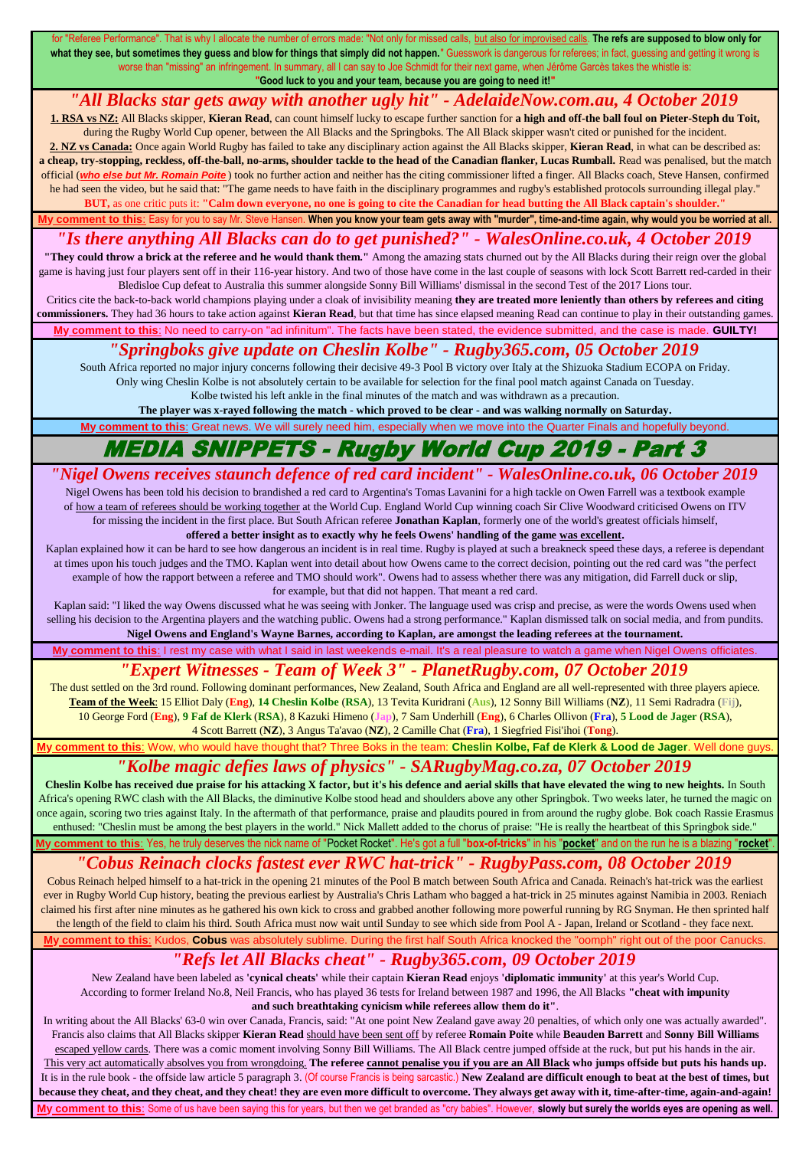"Referee Performance". That is why I allocate the number of errors made: "Not only for missed calls, but also for improvised calls. The refs are supposed to blow only for what they see, but sometimes they guess and blow for things that simply did not happen." Guesswork is dangerous for referees; in fact, guessing and getting it wrong is worse than "missing" an infringement. In summary, all I can say to Joe Schmidt for their next game, when Jérôme Garcès takes the whistle is: **"Good luck to you and your team, because you are going to need it!"**

#### *"All Blacks star gets away with another ugly hit" - AdelaideNow.com.au, 4 October 2019*

**1. RSA vs NZ:** All Blacks skipper, **Kieran Read**, can count himself lucky to escape further sanction for **a high and off-the ball foul on Pieter-Steph du Toit,**  during the Rugby World Cup opener, between the All Blacks and the Springboks. The All Black skipper wasn't cited or punished for the incident.

**2. NZ vs Canada:** Once again World Rugby has failed to take any disciplinary action against the All Blacks skipper, **Kieran Read**, in what can be described as: **a cheap, try-stopping, reckless, off-the-ball, no-arms, shoulder tackle to the head of the Canadian flanker, Lucas Rumball.** Read was penalised, but the match official (*who else but Mr. Romain Poite* ) took no further action and neither has the citing commissioner lifted a finger. All Blacks coach, Steve Hansen, confirmed he had seen the video, but he said that: "The game needs to have faith in the disciplinary programmes and rugby's established protocols surrounding illegal play."

**BUT,** as one critic puts it: **"Calm down everyone, no one is going to cite the Canadian for head butting the All Black captain's shoulder."** When you know your team gets away with "murder", time-and-time again, why would you be worried at all.

*"Is there anything All Blacks can do to get punished?" - WalesOnline.co.uk, 4 October 2019*

**"They could throw a brick at the referee and he would thank them."** Among the amazing stats churned out by the All Blacks during their reign over the global game is having just four players sent off in their 116-year history. And two of those have come in the last couple of seasons with lock Scott Barrett red-carded in their Bledisloe Cup defeat to Australia this summer alongside Sonny Bill Williams' dismissal in the second Test of the 2017 Lions tour.

Iy comment to this: No need to carry-on "ad infinitum". The facts have been stated, the evidence submitted, and the case is made. GUILTY! Critics cite the back-to-back world champions playing under a cloak of invisibility meaning **they are treated more leniently than others by referees and citing commissioners.** They had 36 hours to take action against **Kieran Read**, but that time has since elapsed meaning Read can continue to play in their outstanding games.

## *"Springboks give update on Cheslin Kolbe" - Rugby365.com, 05 October 2019*

South Africa reported no major injury concerns following their decisive 49-3 Pool B victory over Italy at the Shizuoka Stadium ECOPA on Friday. Only wing Cheslin Kolbe is not absolutely certain to be available for selection for the final pool match against Canada on Tuesday.

Kolbe twisted his left ankle in the final minutes of the match and was withdrawn as a precaution.

**The player was x-rayed following the match - which proved to be clear - and was walking normally on Saturday.** Great news. We will surely need him, especially when we move into the Quarter Finals and hopefully beyond

# MEDIA SNIPPETS - Rugby World Cup 2019 - Part 3

# *"Nigel Owens receives staunch defence of red card incident" - WalesOnline.co.uk, 06 October 2019*

Nigel Owens has been told his decision to brandished a red card to Argentina's Tomas Lavanini for a high tackle on Owen Farrell was a textbook example of how a team of referees should be working together at the World Cup. England World Cup winning coach Sir Clive Woodward criticised Owens on ITV for missing the incident in the first place. But South African referee **Jonathan Kaplan**, formerly one of the world's greatest officials himself, **offered a better insight as to exactly why he feels Owens' handling of the game was excellent.** 

Kaplan explained how it can be hard to see how dangerous an incident is in real time. Rugby is played at such a breakneck speed these days, a referee is dependant at times upon his touch judges and the TMO. Kaplan went into detail about how Owens came to the correct decision, pointing out the red card was "the perfect example of how the rapport between a referee and TMO should work". Owens had to assess whether there was any mitigation, did Farrell duck or slip, for example, but that did not happen. That meant a red card.

Kaplan said: "I liked the way Owens discussed what he was seeing with Jonker. The language used was crisp and precise, as were the words Owens used when selling his decision to the Argentina players and the watching public. Owens had a strong performance." Kaplan dismissed talk on social media, and from pundits. **Nigel Owens and England's Wayne Barnes, according to Kaplan, are amongst the leading referees at the tournament.**

**My comment to this**: I rest my case with what I said in last weekends e-mail. It's a real pleasure to watch a game when Nigel Owens officiates.

#### *["Exp](https://www.planetrugby.com/team-of-the-week-rugby-world-cup-round-three/)ert Witnesses - Team of Week 3" - PlanetRugby.com, 07 October 2019*

The dust settled on the 3rd round. Following dominant performances, New Zealand, South Africa and England are all well-represented with three players apiece. **Team of the Week**: 15 Elliot Daly (**Eng**), **14 Cheslin Kolbe** (**RSA**), 13 Tevita Kuridrani (**Aus**), 12 Sonny Bill Williams (**NZ**), 11 Semi Radradra (**Fij**), 10 George Ford (**Eng**), **9 Faf de Klerk** (**RSA**), 8 Kazuki Himeno (**Jap**), 7 Sam Underhill (**Eng**), 6 Charles Ollivon (**Fra**), **5 Lood de Jager** (**RSA**), 4 Scott Barrett (**NZ**), 3 Angus Ta'avao (**NZ**), 2 Camille Chat (**Fra**), 1 Siegfried Fisi'ihoi (**Tong**).

who would have thought that? Three Boks in the team: **Cheslin Kolbe, Faf de Klerk & Lood de Jager**. Well done guy

#### *"Kolbe magic defies laws of physics" - SARugbyMag.co.za, 07 October 2019*

**Cheslin Kolbe has received due praise for his attacking X factor, but it's his defence and aerial skills that have elevated the wing to new heights.** In South Africa's opening RWC clash with the All Blacks, the diminutive Kolbe stood head and shoulders above any other Springbok. Two weeks later, he turned the magic on once again, scoring two tries against Italy. In the aftermath of that performance, praise and plaudits poured in from around the rugby globe. Bok coach Rassie Erasmus enthused: "Cheslin must be among the best players in the world." Nick Mallett added to the chorus of praise: "He is really the heartbeat of this Springbok side."

**Comment to this:** Yes, he truly deserves the nick name of "Pocket Rocket". He's got a full "box-of-tricks" in his "pocket" and on the run he is a blazing "rocket"

#### *"Cobus Reinach clocks fastest ever RWC hat-trick" - RugbyPass.com, 08 October 2019*

Cobus Reinach helped himself to a hat-trick in the opening 21 minutes of the Pool B match between South Africa and Canada. Reinach's hat-trick was the earliest ever in Rugby World Cup history, beating the previous earliest by Australia's Chris Latham who bagged a hat-trick in 25 minutes against Namibia in 2003. Reniach claimed his first after nine minutes as he gathered his own kick to cross and grabbed another following more powerful running by RG Snyman. He then sprinted half the length of the field to claim his third. South Africa must now wait until Sunday to see which side from Pool A - Japan, Ireland or Scotland - they face next.

to this: Kudos, Cobus was absolutely sublime. During the first half South Africa knocked the "oomph" right out of the poor Canuc

### *"Refs let All Blacks cheat" - Rugby365.com, 09 October 2019*

New Zealand have been labeled as **'cynical cheats'** while their captain **Kieran Read** enjoys **'diplomatic immunity'** at this year's World Cup. According to former Ireland No.8, Neil Francis, who has played 36 tests for Ireland between 1987 and 1996, the All Blacks **"cheat with impunity and such breathtaking cynicism while referees allow them do it"**.

In writing about the All Blacks' 63-0 win over Canada, Francis, said: "At one point New Zealand gave away 20 penalties, of which only one was actually awarded". Francis also claims that All Blacks skipper **Kieran Read** should have been sent off by referee **Romain Poite** while **Beauden Barrett** and **Sonny Bill Williams**  escaped yellow cards. There was a comic moment involving Sonny Bill Williams. The All Black centre jumped offside at the ruck, but put his hands in the air. This very act automatically absolves you from wrongdoing. The referee cannot penalise you if you are an All Black who jumps offside but puts his hands up. It is in the rule book - the offside law article 5 paragraph 3. (Of course Francis is being sarcastic.) **New Zealand are difficult enough to beat at the best of times, but**  because they cheat, and they cheat, and they cheat! they are even more difficult to overcome. They always get away with it, time-after-time, again-and-again! Some of us have been saying this for years, but then we get branded as "cry babies". However, slowly but surely the worlds eyes are opening as well.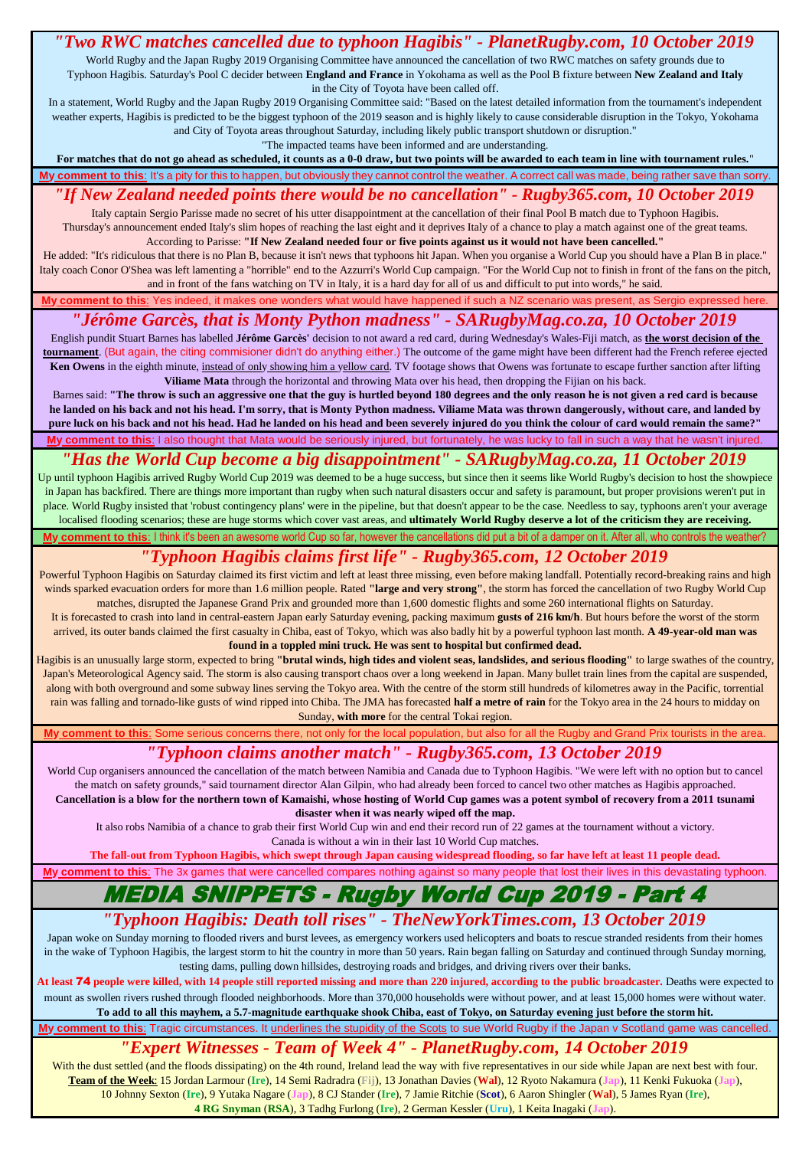#### *"Two RWC matches cancelled due to typhoon Hagibis" - PlanetRugby.com, 10 October 2019* World Rugby and the Japan Rugby 2019 Organising Committee have announced the cancellation of two RWC matches on safety grounds due to Typhoon Hagibis. Saturday's Pool C decider between **England and France** in Yokohama as well as the Pool B fixture between **New Zealand and Italy**

in the City of Toyota have been called off.

In a statement, World Rugby and the Japan Rugby 2019 Organising Committee said: "Based on the latest detailed information from the tournament's independent weather experts, Hagibis is predicted to be the biggest typhoon of the 2019 season and is highly likely to cause considerable disruption in the Tokyo, Yokohama and City of Toyota areas throughout Saturday, including likely public transport shutdown or disruption."

"The impacted teams have been informed and are understanding.

#### **For matches that do not go ahead as scheduled, it counts as a 0-0 draw, but two points will be awarded to each team in line with tournament rules.**" **y comment to this**: It's a pity for this to happen, but obviously they cannot control the weather. A correct call was made, being rather save than sorry

## *"If New Zealand needed points there would be no cancellation" - Rugby365.com, 10 October 2019*

Italy captain Sergio Parisse made no secret of his utter disappointment at the cancellation of their final Pool B match due to Typhoon Hagibis. Thursday's announcement ended Italy's slim hopes of reaching the last eight and it deprives Italy of a chance to play a match against one of the great teams. According to Parisse: **"If New Zealand needed four or five points against us it would not have been cancelled."** 

He added: "It's ridiculous that there is no Plan B, because it isn't news that typhoons hit Japan. When you organise a World Cup you should have a Plan B in place." Italy coach Conor O'Shea was left lamenting a "horrible" end to the Azzurri's World Cup campaign. "For the World Cup not to finish in front of the fans on the pitch, and in front of the fans watching on TV in Italy, it is a hard day for all of us and difficult to put into words," he said.

**My comment to this**: Yes indeed, it makes one wonders what would have happened if such a NZ scenario was present, as Sergio expressed here.

## *"Jérôme Garcès, that is Monty Python madness" - SARugbyMag.co.za, 10 October 2019*

English pundit Stuart Barnes has labelled **Jérôme Garcès'** decision to not award a red card, during Wednesday's Wales-Fiji match, as **the worst decision of the tournament**. (But again, the citing commisioner didn't do anything either.) The outcome of the game might have been different had the French referee ejected **Ken Owens** in the eighth minute, instead of only showing him a yellow card. TV footage shows that Owens was fortunate to escape further sanction after lifting **Viliame Mata** through the horizontal and throwing Mata over his head, then dropping the Fijian on his back.

**My comment to this**: I also thought that Mata would be seriously injured, but fortunately, he was lucky to fall in such a way that he wasn't injured. Barnes said: **"The throw is such an aggressive one that the guy is hurtled beyond 180 degrees and the only reason he is not given a red card is because he landed on his back and not his head. I'm sorry, that is Monty Python madness. Viliame Mata was thrown dangerously, without care, and landed by pure luck on his back and not his head. Had he landed on his head and been severely injured do you think the colour of card would remain the same?"**

#### *"Has the World Cup become a big disappointment" - SARugbyMag.co.za, 11 October 2019*

Up until typhoon Hagibis arrived Rugby World Cup 2019 was deemed to be a huge success, but since then it seems like World Rugby's decision to host the showpiece in Japan has backfired. There are things more important than rugby when such natural disasters occur and safety is paramount, but proper provisions weren't put in place. World Rugby insisted that 'robust contingency plans' were in the pipeline, but that doesn't appear to be the case. Needless to say, typhoons aren't your average localised flooding scenarios; these are huge storms which cover vast areas, and **ultimately World Rugby deserve a lot of the criticism they are receiving.**

Iy comment to this: I think it's been an awesome world Cup so far, however the cancellations did put a bit of a damper on it. After all, who controls the weather?

#### *"Typhoon Hagibis claims first life" - Rugby365.com, 12 October 2019*

Powerful Typhoon Hagibis on Saturday claimed its first victim and left at least three missing, even before making landfall. Potentially record-breaking rains and high winds sparked evacuation orders for more than 1.6 million people. Rated **"large and very strong"**, the storm has forced the cancellation of two Rugby World Cup matches, disrupted the Japanese Grand Prix and grounded more than 1,600 domestic flights and some 260 international flights on Saturday.

It is forecasted to crash into land in central-eastern Japan early Saturday evening, packing maximum **gusts of 216 km/h**. But hours before the worst of the storm arrived, its outer bands claimed the first casualty in Chiba, east of Tokyo, which was also badly hit by a powerful typhoon last month. **A 49-year-old man was found in a toppled mini truck. He was sent to hospital but confirmed dead.** 

Hagibis is an unusually large storm, expected to bring **"brutal winds, high tides and violent seas, landslides, and serious flooding"** to large swathes of the country, Japan's Meteorological Agency said. The storm is also causing transport chaos over a long weekend in Japan. Many bullet train lines from the capital are suspended, along with both overground and some subway lines serving the Tokyo area. With the centre of the storm still hundreds of kilometres away in the Pacific, torrential rain was falling and tornado-like gusts of wind ripped into Chiba. The JMA has forecasted **half a metre of rain** for the Tokyo area in the 24 hours to midday on Sunday, **with more** for the central Tokai region.

**My comment to this**: Some serious concerns there, not only for the local population, but also for all the Rugby and Grand Prix tourists in the area.

#### *"Typhoon claims another match" - Rugby365.com, 13 October 2019*

World Cup organisers announced the cancellation of the match between Namibia and Canada due to Typhoon Hagibis. "We were left with no option but to cancel the match on safety grounds," said tournament director Alan Gilpin, who had already been forced to cancel two other matches as Hagibis approached. **Cancellation is a blow for the northern town of Kamaishi, whose hosting of World Cup games was a potent symbol of recovery from a 2011 tsunami disaster when it was nearly wiped off the map.** 

It also robs Namibia of a chance to grab their first World Cup win and end their record run of 22 games at the tournament without a victory. Canada is without a win in their last 10 World Cup matches.

**The fall-out from Typhoon Hagibis, which swept through Japan causing widespread flooding, so far have left at least 11 people dead.**

led compares nothing against so many people that lost their lives in this de

# **SNIPPETS - Ruaby World Cup 2019**

### *"Typhoon Hagibis: Death toll rises" - TheNewYorkTimes.com, 13 October 2019*

Japan woke on Sunday morning to flooded rivers and burst levees, as emergency workers used helicopters and boats to rescue stranded residents from their homes in the wake of Typhoon Hagibis, the largest storm to hit the country in more than 50 years. Rain began falling on Saturday and continued through Sunday morning, testing dams, pulling down hillsides, destroying roads and bridges, and driving rivers over their banks.

**At least** 74 **people were killed, with 14 people still reported missing and more than 220 injured, according to the public broadcaster.** Deaths were expected to mount as swollen rivers rushed through flooded neighborhoods. More than 370,000 households were without power, and at least 15,000 homes were without water. **To add to all this mayhem, a 5.7-magnitude earthquake shook Chiba, east of Tokyo, on Saturday evening just before the storm hit.**

**My comment to this**: Tragic circumstances. It underlines the stupidity of the Scots to sue World Rugby if the Japan v Scotland game was cancelled.

#### *["Exp](https://www.planetrugby.com/team-of-the-week-rugby-world-cup-round-four/)ert Witnesses - Team of Week 4" - PlanetRugby.com, 14 October 2019*

With the dust settled (and the floods dissipating) on the 4th round, Ireland lead the way with five representatives in our side while Japan are next best with four. **Team of the Week**: 15 Jordan Larmour (**Ire**), 14 Semi Radradra (**Fij**), 13 Jonathan Davies (**Wal**), 12 Ryoto Nakamura (**Jap**), 11 Kenki Fukuoka (**Jap**), 10 Johnny Sexton (**Ire**), 9 Yutaka Nagare (**Jap**), 8 CJ Stander (**Ire**), 7 Jamie Ritchie (**Scot**), 6 Aaron Shingler (**Wal**), 5 James Ryan (**Ire**), **4 RG Snyman** (**RSA**), 3 Tadhg Furlong (**Ire**), 2 German Kessler (**Uru**), 1 Keita Inagaki (**Jap**).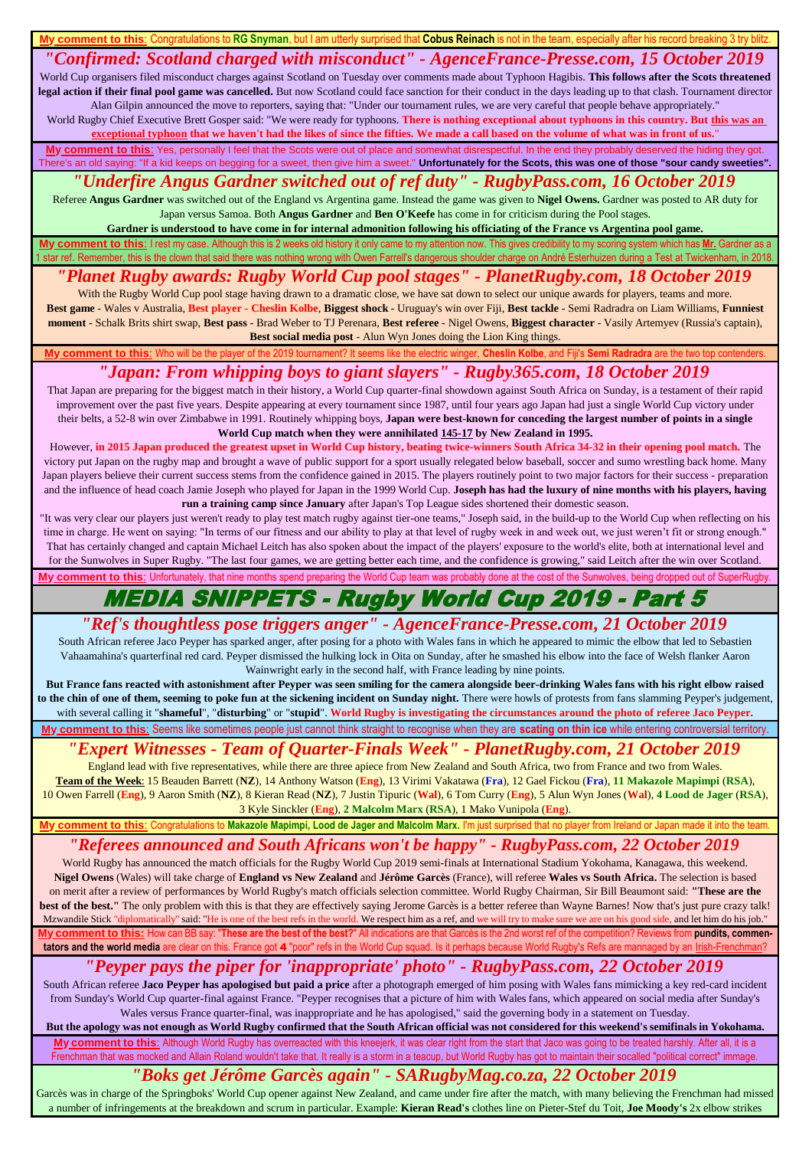#### **y comment to this**: Congratulations to RG Snyman, but I am utterly surprised that Cobus Reinach is not in the team, especially after his record b

#### *"Confirmed: Scotland charged with misconduct" - AgenceFrance-Presse.com, 15 October 2019*

World Cup organisers filed misconduct charges against Scotland on Tuesday over comments made about Typhoon Hagibis. **This follows after the Scots threatened legal action if their final pool game was cancelled.** But now Scotland could face sanction for their conduct in the days leading up to that clash. Tournament director Alan Gilpin announced the move to reporters, saying that: "Under our tournament rules, we are very careful that people behave appropriately."

World Rugby Chief Executive Brett Gosper said: "We were ready for typhoons. There is nothing exceptional about typhoons in this country. But this was an **exceptional typhoon that we haven't had the likes of since the fifties. We made a call based on the volume of what was in front of us.**"

**Phis**: Yes, personally I feel that the Scots were out of place and somewhat disrespectful. In the end they probably deserved the hiding they got. et, then give him a sweet." Unfortunately for the Scots, this was one of those "sour candy sweeties"

## *"Underfire Angus Gardner switched out of ref duty" - RugbyPass.com, 16 October 2019*

Referee **Angus Gardner** was switched out of the England vs Argentina game. Instead the game was given to **Nigel Owens.** Gardner was posted to AR duty for Japan versus Samoa. Both **Angus Gardner** and **Ben O'Keefe** has come in for criticism during the Pool stages.

**Gardner is understood to have come in for internal admonition following his officiating of the France vs Argentina pool game.**

Ise. Although this is 2 weeks old history it only came to my attention now. This gives cred 1 star ref. Remember, this is the clown that said there was nothing wrong with Owen Farrell's dangerous shoulder charge on André Esterhuizen during a Test at Twickenham, in 2018.

## *"Planet Rugby awards: Rugby World Cup pool stages" - PlanetRugby.com, 18 October 2019*

With the Rugby World Cup pool stage having drawn to a dramatic close, we have sat down to select our unique awards for players, teams and more. **Best game** - Wales v Australia, **Best player** - **Cheslin Kolbe**, **Biggest shock** - Uruguay's win over Fiji, **Best tackle** - Semi Radradra on Liam Williams, **Funniest moment** - Schalk Brits shirt swap, **Best pass** - Brad Weber to TJ Perenara, **Best referee** - Nigel Owens, **Biggest character** - Vasily Artemyev (Russia's captain), **Best social media post** - Alun Wyn Jones doing the Lion King things.

Who will be the player of the 2019 tournament? It seems like the electric winger, Cheslin Kolbe, and Fiji's Semi Radradra are the two top

## *"Japan: From whipping boys to giant slayers" - Rugby365.com, 18 October 2019*

That Japan are preparing for the biggest match in their history, a World Cup quarter-final showdown against South Africa on Sunday, is a testament of their rapid improvement over the past five years. Despite appearing at every tournament since 1987, until four years ago Japan had just a single World Cup victory under their belts, a 52-8 win over Zimbabwe in 1991. Routinely whipping boys, **Japan were best-known for conceding the largest number of points in a single World Cup match when they were annihilated 145-17 by New Zealand in 1995.** 

However, **in 2015 Japan produced the greatest upset in World Cup history, beating twice-winners South Africa 34-32 in their opening pool match.** The victory put Japan on the rugby map and brought a wave of public support for a sport usually relegated below baseball, soccer and sumo wrestling back home. Many Japan players believe their current success stems from the confidence gained in 2015. The players routinely point to two major factors for their success - preparation and the influence of head coach Jamie Joseph who played for Japan in the 1999 World Cup. **Joseph has had the luxury of nine months with his players, having run a training camp since January** after Japan's Top League sides shortened their domestic season.

"It was very clear our players just weren't ready to play test match rugby against tier-one teams," Joseph said, in the build-up to the World Cup when reflecting on his time in charge. He went on saying: "In terms of our fitness and our ability to play at that level of rugby week in and week out, we just weren't fit or strong enough." That has certainly changed and captain Michael Leitch has also spoken about the impact of the players' exposure to the world's elite, both at international level and for the Sunwolves in Super Rugby. "The last four games, we are getting better each time, and the confidence is growing," said Leitch after the win over Scotland.

Iy comment to this: Unfortunately, that nine months spend preparing the World Cup team was probably done at the cost of the Sunwolves, being dropped out of SuperRugby

# MEDIA SNIPPETS - Rugby World Cup 2019 - Part 5

## *"Ref's thoughtless pose triggers anger" - AgenceFrance-Presse.com, 21 October 2019*

South African referee Jaco Peyper has sparked anger, after posing for a photo with Wales fans in which he appeared to mimic the elbow that led to Sebastien Vahaamahina's quarterfinal red card. Peyper dismissed the hulking lock in Oita on Sunday, after he smashed his elbow into the face of Welsh flanker Aaron Wainwright early in the second half, with France leading by nine points.

**But France fans reacted with astonishment after Peyper was seen smiling for the camera alongside beer-drinking Wales fans with his right elbow raised to the chin of one of them, seeming to poke fun at the sickening incident on Sunday night.** There were howls of protests from fans slamming Peyper's judgement, with several calling it "**shameful**", "**disturbing**" or "**stupid**". **World Rugby is investigating the circumstances around the photo of referee Jaco Peyper.**

**My comment to this**: Seems like sometimes people just cannot think straight to recognise when they are **scating on thin ice** while entering controversial territory.

## *["Expert Wit](https://www.planetrugby.com/team-of-the-week-rugby-world-cup-quarter-finals/)nesses - Team of Quarter-Finals Week" - PlanetRugby.com, 21 October 2019*

England lead with five representatives, while there are three apiece from New Zealand and South Africa, two from France and two from Wales. **Team of the Week**: 15 Beauden Barrett (**NZ**), 14 Anthony Watson (**Eng**), 13 Virimi Vakatawa (**Fra**), 12 Gael Fickou (**Fra**), **11 Makazole Mapimpi** (**RSA**), 10 Owen Farrell (**Eng**), 9 Aaron Smith (**NZ**), 8 Kieran Read (**NZ**), 7 Justin Tipuric (**Wal**), 6 Tom Curry (**Eng**), 5 Alun Wyn Jones (**Wal**), **4 Lood de Jager** (**RSA**), 3 Kyle Sinckler (**Eng**), **2 Malcolm Marx** (**RSA**), 1 Mako Vunipola (**Eng**).

#### *"Referees announced and South Africans won't be happy" - RugbyPass.com, 22 October 2019* t<mark>o Makazole Mapimpi, Lood de Jager and Malcolm Marx. I'</mark>i

"These are the best of the best?" All indications are that Garcès is the 2nd worst ref of the competition? Reviews from pundits, commentators and the world media are clear on this. France got 4 "poor" refs in the World Cup squad. Is it perhaps because World Rugby's Refs are m World Rugby has announced the match officials for the Rugby World Cup 2019 semi-finals at International Stadium Yokohama, Kanagawa, this weekend. **Nigel Owens** (Wales) will take charge of **England vs New Zealand** and **Jérôme Garcès** (France), will referee **Wales vs South Africa.** The selection is based on merit after a review of performances by World Rugby's match officials selection committee. World Rugby Chairman, Sir Bill Beaumont said: **"These are the**  best of the best." The only problem with this is that they are effectively saying Jerome Garcès is a better referee than Wayne Barnes! Now that's just pure crazy talk! Mzwandile Stick "diplomatically" said: "He is one of the best refs in the world. We respect him as a ref, and we will try to make sure we are on his good side, and let him do his job."

## *"Peyper pays the piper for 'inappropriate' photo" - RugbyPass.com, 22 October 2019*

South African referee **Jaco Peyper has apologised but paid a price** after a photograph emerged of him posing with Wales fans mimicking a key red-card incident from Sunday's World Cup quarter-final against France. "Peyper recognises that a picture of him with Wales fans, which appeared on social media after Sunday's Wales versus France quarter-final, was inappropriate and he has apologised," said the governing body in a statement on Tuesday.

But the apology was not enough as World Rugby confirmed that the South African official was not considered for this weekend's semifinals in Yokohama. **My comment to this**: Although World Rugby has overreacted with this kneejerk, it was clear right from the start that Jaco was going to be treated harshly. After all, it is a Is mocked and Allain Roland wouldn't take that. It really is a storm in a teacup, but World Rugby has got to maintain their socalled "political correct" immage

## *"Boks get Jérôme Garcès again" - SARugbyMag.co.za, 22 October 2019*

Garcès was in charge of the Springboks' World Cup opener against New Zealand, and came under fire after the match, with many believing the Frenchman had missed a number of infringements at the breakdown and scrum in particular. Example: **Kieran Read's** clothes line on Pieter-Stef du Toit, **Joe Moody's** 2x elbow strikes